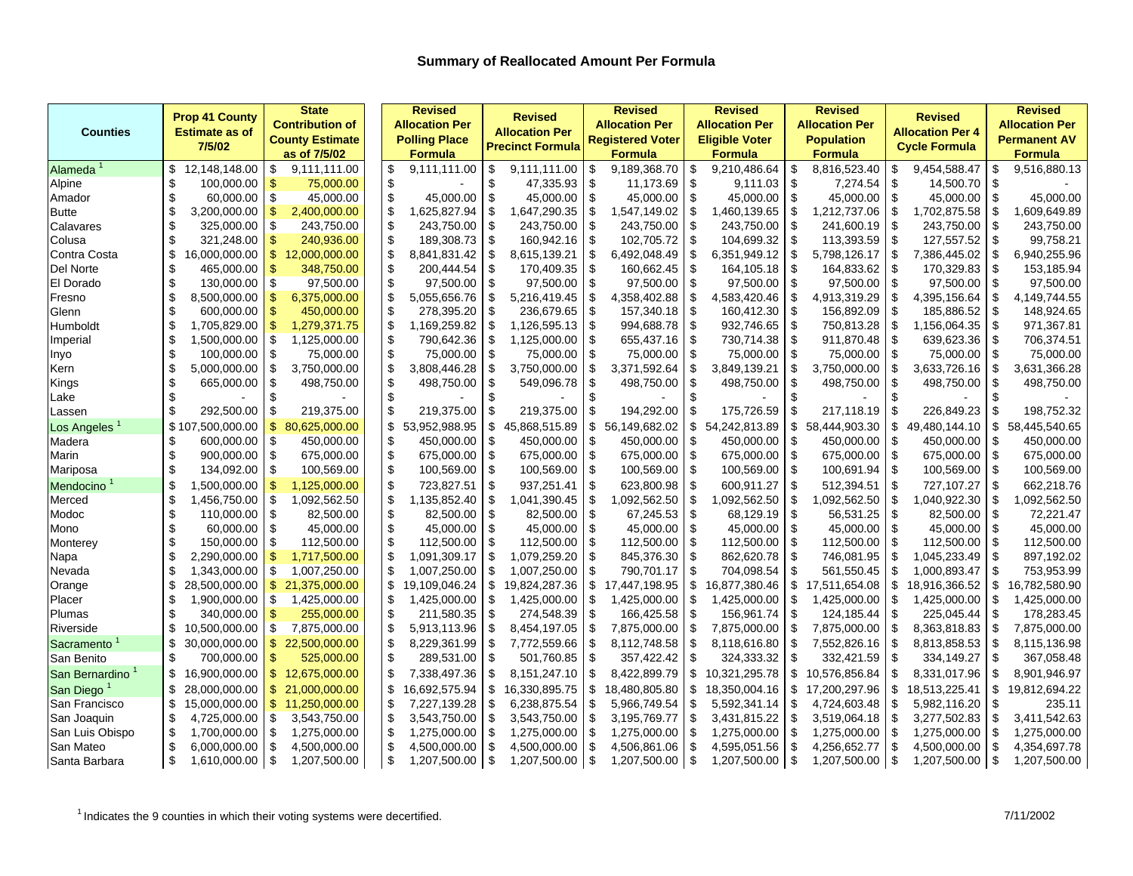|                        | <b>Prop 41 County</b>        | <b>State</b>           | <b>Revised</b>        |          | <b>Revised</b>          |      | <b>Revised</b>          |     | <b>Revised</b>        |               | <b>Revised</b>        |                | <b>Revised</b>          |     | <b>Revised</b>        |
|------------------------|------------------------------|------------------------|-----------------------|----------|-------------------------|------|-------------------------|-----|-----------------------|---------------|-----------------------|----------------|-------------------------|-----|-----------------------|
|                        |                              | <b>Contribution of</b> | <b>Allocation Per</b> |          |                         |      | <b>Allocation Per</b>   |     | <b>Allocation Per</b> |               | <b>Allocation Per</b> |                | <b>Allocation Per 4</b> |     | <b>Allocation Per</b> |
| <b>Counties</b>        | <b>Estimate as of</b>        | <b>County Estimate</b> | <b>Polling Place</b>  |          | <b>Allocation Per</b>   |      | <b>Registered Voter</b> |     | <b>Eligible Voter</b> |               | <b>Population</b>     |                |                         |     | <b>Permanent AV</b>   |
|                        | 7/5/02                       | as of 7/5/02           | <b>Formula</b>        |          | <b>Precinct Formula</b> |      | <b>Formula</b>          |     | <b>Formula</b>        |               | <b>Formula</b>        |                | <b>Cycle Formula</b>    |     | <b>Formula</b>        |
| Alameda                | \$<br>12,148,148.00          | 9,111,111.00<br>\$     | \$<br>9,111,111.00    | \$       | 9,111,111.00            | \$   | 9,189,368.70            | \$  | 9,210,486.64          | \$            | 8,816,523.40          | -S             | 9,454,588.47            | \$  | 9,516,880.13          |
| Alpine                 | \$<br>100,000.00             | \$<br>75,000.00        | \$                    | \$       | 47,335.93               | \$   | 11,173.69               | \$  | 9,111.03              | \$            | 7,274.54              | \$             | 14,500.70               | \$  |                       |
| Amador                 | \$<br>60,000.00              | \$<br>45,000.00        | \$<br>45,000.00       | \$       | 45,000.00               | \$   | 45,000.00               | \$  | 45,000.00 \$          |               | 45,000.00             | \$             | 45,000.00               | \$  | 45,000.00             |
| <b>Butte</b>           | \$<br>3,200,000.00           | \$<br>2,400,000.00     | \$<br>.625,827.94     | \$       | 1,647,290.35            | \$   | 1,547,149.02            | \$  | 1,460,139.65          | \$            | 1,212,737.06          | \$             | 1,702,875.58            |     | 1,609,649.89          |
| Calavares              | \$<br>325,000.00             | \$<br>243,750.00       | \$<br>243,750.00      | \$       | 243,750.00              | $\,$ | 243,750.00              | \$  | 243,750.00            | \$            | 241,600.19            | \$             | 243,750.00              | \$  | 243,750.00            |
| Colusa                 | \$<br>321,248.00             | \$<br>240,936.00       | \$<br>189,308.73      | \$       | 160,942.16              | \$   | 102,705.72              | \$  | 104,699.32            | \$            | 113,393.59            | -\$            | 127,557.52              | \$  | 99,758.21             |
| Contra Costa           | \$<br>16,000,000.00          | \$<br>12,000,000.00    | \$<br>8,841,831.42    | \$       | 8,615,139.21            | \$   | 6,492,048.49            | \$  | 6,351,949.12          | \$            | 5,798,126.17          | -\$            | 7,386,445.02            |     | 6,940,255.96          |
| Del Norte              | \$<br>465,000.00             | \$<br>348,750.00       | \$<br>200,444.54      | \$       | 170,409.35              | \$   | 160,662.45              | \$  | 164,105.18            | \$            | 164,833.62            | $\mathfrak{s}$ | 170,329.83              | \$  | 153,185.94            |
| El Dorado              | \$<br>130,000.00             | \$<br>97,500.00        | \$<br>97,500.00       | \$       | 97,500.00               | \$   | 97,500.00               | \$  | 97,500.00             | \$            | 97,500.00             | -\$            | 97,500.00               | \$  | 97,500.00             |
| Fresno                 | \$<br>8,500,000.00           | \$<br>6,375,000.00     | \$<br>5,055,656.76    | \$       | 5,216,419.45            | \$   | 4,358,402.88            | \$  | 4,583,420.46          | \$            | 4,913,319.29          | \$             | 4,395,156.64            | \$  | 4,149,744.55          |
| Glenn                  | \$<br>600,000.00             | \$<br>450,000.00       | \$<br>278,395.20      | \$       | 236,679.65              | \$   | 157,340.18              | \$  | 160,412.30            | \$            | 156,892.09            | \$             | 185,886.52              | \$  | 148,924.65            |
| Humboldt               | \$<br>1,705,829.00           | \$<br>1,279,371.75     | \$<br>1,169,259.82    | \$       | 1,126,595.13            | \$   | 994,688.78              | \$  | 932,746.65            | -\$           | 750,813.28            | \$             | 1,156,064.35            | \$  | 971,367.81            |
| Imperial               | Ŝ<br>1,500,000.00            | \$<br>1,125,000.00     | \$<br>790,642.36      | \$       | 1,125,000.00            | \$   | 655,437.16              | \$  | 730,714.38            | -\$           | 911,870.48            | \$             | 639,623.36              | \$  | 706,374.51            |
| Inyo                   | \$<br>100,000.00             | \$<br>75,000.00        | \$<br>75,000.00       | -\$      | 75,000.00               | \$   | 75,000.00               | \$  | 75,000.00             | \$            | 75,000.00             | -\$            | 75,000.00               | \$  | 75,000.00             |
| Kern                   | \$<br>5,000,000.00           | \$<br>3,750,000.00     | \$<br>3,808,446.28    | \$       | 3,750,000.00            | \$   | 3,371,592.64            | \$  | 3,849,139.21          | \$            | 3,750,000.00          | \$             | 3,633,726.16            | \$  | 3,631,366.28          |
| Kings                  | \$<br>665,000.00             | \$<br>498,750.00       | \$<br>498,750.00      | \$       | 549,096.78              | \$   | 498,750.00              | \$  | 498,750.00            | \$            | 498,750.00            | -\$            | 498,750.00              | \$  | 498,750.00            |
| Lake                   | \$                           | \$                     | \$                    | \$       |                         | \$   |                         | £.  |                       |               |                       | £.             |                         | \$  |                       |
| Lassen                 | $\mathfrak{L}$<br>292,500.00 | \$<br>219,375.00       | \$<br>219,375.00      | \$       | 219,375.00              | \$   | 194,292.00              | \$  | 175,726.59            | \$            | 217,118.19            | $\mathfrak{s}$ | 226,849.23              | \$  | 198,752.32            |
| Los Angeles            | \$107<br>,500,000.00         | \$<br>80.625.000.00    | \$<br>53,952,988.95   | \$       | 45,868,515.89           | \$   | 56,149,682.02           | \$  | 54,242,813.89         | \$            | 58,444,903.30         | \$             | 49.480.144.10           | \$  | 58,445,540.65         |
| Madera                 | 600,000.00<br>S              | \$<br>450,000.00       | \$<br>450,000.00      | \$       | 450,000.00              | \$   | 450,000.00              | -\$ | 450,000.00            | \$            | 450,000.00            | -\$            | 450,000.00              | S   | 450,000.00            |
| Marin                  | \$<br>900,000.00             | \$<br>675,000.00       | \$<br>675,000.00      | \$       | 675,000.00              | \$   | 675,000.00              | \$  | 675,000.00            | $\sqrt{3}$    | 675,000.00            | -\$            | 675,000.00              | \$  | 675,000.00            |
| Mariposa               | \$<br>134,092.00             | \$<br>100,569.00       | \$<br>100,569.00      | -\$      | 100,569.00              | \$   | 100,569.00              | -\$ | 100,569.00            | -\$           | 100,691.94            | - \$           | 100,569.00              | \$  | 100,569.00            |
| Mendocino <sup>1</sup> | \$<br>1,500,000.00           | \$<br>1,125,000.00     | \$<br>723,827.51      | \$       | 937,251.41              | \$   | 623,800.98              | \$  | 600,911.27            | -\$           | 512,394.51            | - \$           | 727,107.27              | \$  | 662,218.76            |
| Merced                 | \$<br>1,456,750.00           | \$<br>1,092,562.50     | \$<br>1,135,852.40    | \$       | 1,041,390.45            | \$   | 1,092,562.50            | \$  | 1,092,562.50          | \$            | 1,092,562.50          | \$             | 1,040,922.30            | \$  | 1,092,562.50          |
| Modoc                  | \$<br>110,000.00             | \$<br>82,500.00        | \$<br>82,500.00       | \$       | 82,500.00               | \$   | 67,245.53               | \$  | 68,129.19             | \$            | 56,531.25             | \$             | 82,500.00               | \$  | 72,221.47             |
| Mono                   | \$<br>60,000.00              | \$<br>45,000.00        | \$<br>45,000.00       | \$       | 45,000.00               | \$   | 45,000.00               | \$  | 45,000.00             | \$            | 45,000.00             | -\$            | 45,000.00               | \$  | 45,000.00             |
| Monterey               | \$<br>150,000.00             | \$<br>112,500.00       | \$<br>112,500.00      | \$       | 112,500.00              | \$   | 112,500.00              | \$  | 112,500.00            | \$            | 112,500.00            | \$             | 112,500.00              | \$  | 112,500.00            |
| Napa                   | £<br>2,290,000.00            | \$<br>1,717,500.00     | \$<br>1,091,309.17    | \$       | 1,079,259.20            | \$   | 845,376.30              | \$  | 862,620.78            | \$            | 746,081.95            | -\$            | 1,045,233.49            | \$  | 897,192.02            |
| Nevada                 | \$<br>1,343,000.00           | \$<br>1,007,250.00     | \$<br>1,007,250.00    | \$       | 1,007,250.00            | \$   | 790,701.17              | -\$ | 704,098.54            | \$            | 561,550.45            | \$             | 1,000,893.47            | \$  | 753,953.99            |
| Orange                 | \$<br>28,500,000.00          | \$<br>21,375,000.00    | \$<br>19,109,046.24   | \$       | 19,824,287.36           | \$   | 17,447,198.95           | \$  | 16,877,380.46         | \$            | 17,511,654.08         | \$             | 18,916,366.52           | \$  | 16,782,580.90         |
| Placer                 | \$<br>1,900,000.00           | \$<br>1,425,000.00     | \$<br>1,425,000.00    | -\$      | 1,425,000.00            | \$   | 1,425,000.00            | \$  | 1,425,000.00          | \$            | 1,425,000.00          | -\$            | 1,425,000.00            | \$  | 1,425,000.00          |
| Plumas                 | \$<br>340,000.00             | \$<br>255,000.00       | \$<br>211,580.35      | \$       | 274,548.39              | \$   | 166,425.58              | \$  | 156,961.74            | \$            | 124,185.44            | -\$            | 225,045.44              | \$  | 178,283.45            |
| Riverside              | \$<br>10,500,000.00          | \$<br>7,875,000.00     | \$<br>5,913,113.96    | \$       | 8,454,197.05            | \$   | 7,875,000.00            | \$  | 7,875,000.00          | \$            | 7,875,000.00          | -\$            | 8,363,818.83            | \$  | 7,875,000.00          |
| Sacramento             | \$<br>30,000,000.00          | \$<br>22,500,000.00    | \$<br>8,229,361.99    | \$       | 7,772,559.66            | \$   | 8,112,748.58            | \$  | 8,118,616.80          | $\sqrt[6]{3}$ | 7,552,826.16          | -\$            | 8,813,858.53            | \$  | 8,115,136.98          |
| San Benito             | \$<br>700,000.00             | \$<br>525,000.00       | \$<br>289,531.00      | \$       | 501,760.85              | \$   | 357,422.42              | \$  | 324,333.32            | \$            | 332,421.59            | -\$            | 334,149.27              | \$  | 367,058.48            |
| San Bernardino         | \$<br>16,900,000.00          | \$<br>12,675,000.00    | \$<br>7,338,497.36    | \$       | 8,151,247.10            | \$   | 8,422,899.79            | \$  | 10,321,295.78         | \$            | 10,576,856.84         | \$             | 8,331,017.96            | \$. | 8,901,946.97          |
| San Diego              | \$<br>28,000,000.00          | \$<br>21,000,000.00    | \$<br>16,692,575.94   | \$       | 16,330,895.75           | \$   | 18,480,805.80           | \$  | 18,350,004.16         | \$            | 17,200,297.96         | \$             | 18,513,225.41           | \$  | 19,812,694.22         |
| San Francisco          | \$<br>15,000,000.00          | \$<br>11,250,000.00    | \$<br>7,227,139.28    | \$       | 6,238,875.54            | \$   | 5,966,749.54            | \$  | 5,592,341.14          | \$            | 4,724,603.48          | \$             | 5,982,116.20            | \$  | 235.11                |
| San Joaquin            | \$<br>4,725,000.00           | \$<br>3,543,750.00     | \$<br>3,543,750.00    | \$       | 3,543,750.00            | \$   | 3,195,769.77            | \$  | 3,431,815.22          | \$            | 3,519,064.18          | \$             | 3,277,502.83            | \$  | 3,411,542.63          |
| San Luis Obispo        | \$<br>1,700,000.00           | \$<br>1,275,000.00     | \$<br>1,275,000.00    | \$       | 1,275,000.00            | \$   | 1,275,000.00            | \$  | 1,275,000.00          | \$            | 1,275,000.00          | -\$            | 1,275,000.00            | \$  | 1,275,000.00          |
| San Mateo              | \$<br>6,000,000.00           | \$<br>4,500,000.00     | \$<br>4,500,000.00    | -\$      | 4,500,000.00            | S    | 4,506,861.06            | \$  | 4,595,051.56          | \$            | 4,256,652.77          | - \$           | 4,500,000.00            | \$  | 4,354,697.78          |
| Santa Barbara          | \$<br>1,610,000.00           | -\$<br>1,207,500.00    | \$<br>1,207,500.00    | <b>S</b> | 1,207,500.00 \$         |      | 1,207,500.00            | \$  | $1,207,500.00$ \ \$   |               | 1,207,500.00 \$       |                | 1,207,500.00            | \$  | 1,207,500.00          |